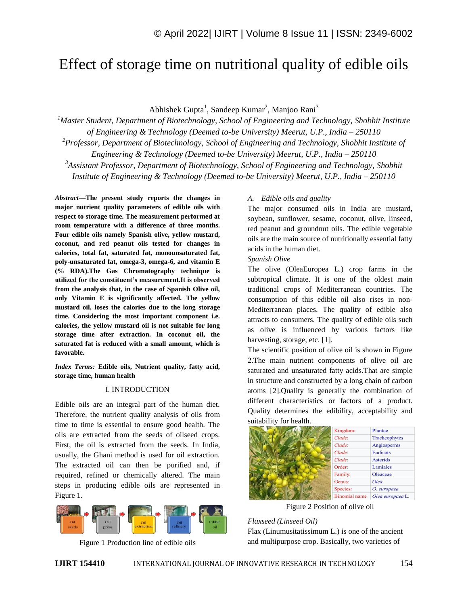# Effect of storage time on nutritional quality of edible oils

Abhishek Gupta<sup>1</sup>, Sandeep Kumar<sup>2</sup>, Manjoo Rani<sup>3</sup>

*<sup>1</sup>Master Student, Department of Biotechnology, School of Engineering and Technology, Shobhit Institute of Engineering & Technology (Deemed to-be University) Meerut, U.P., India – 250110 <sup>2</sup>Professor, Department of Biotechnology, School of Engineering and Technology, Shobhit Institute of* 

*Engineering & Technology (Deemed to-be University) Meerut, U.P., India – 250110* 

*<sup>3</sup>Assistant Professor, Department of Biotechnology, School of Engineering and Technology, Shobhit Institute of Engineering & Technology (Deemed to-be University) Meerut, U.P., India – 250110* 

*Abstract—***The present study reports the changes in major nutrient quality parameters of edible oils with respect to storage time. The measurement performed at room temperature with a difference of three months. Four edible oils namely Spanish olive, yellow mustard, coconut, and red peanut oils tested for changes in calories, total fat, saturated fat, monounsaturated fat, poly-unsaturated fat, omega-3, omega-6, and vitamin E (% RDA).The Gas Chromatography technique is utilized for the constituent's measurement.It is observed from the analysis that, in the case of Spanish Olive oil, only Vitamin E is significantly affected. The yellow mustard oil, loses the calories due to the long storage time. Considering the most important component i.e. calories, the yellow mustard oil is not suitable for long storage time after extraction. In coconut oil, the saturated fat is reduced with a small amount, which is favorable.** 

*Index Terms:* **Edible oils, Nutrient quality, fatty acid, storage time, human health**

#### I. INTRODUCTION

Edible oils are an integral part of the human diet. Therefore, the nutrient quality analysis of oils from time to time is essential to ensure good health. The oils are extracted from the seeds of oilseed crops. First, the oil is extracted from the seeds. In India, usually, the Ghani method is used for oil extraction. The extracted oil can then be purified and, if required, refined or chemically altered. The main steps in producing edible oils are represented in Figure 1.



Figure 1 Production line of edible oils

## *A. Edible oils and quality*

The major consumed oils in India are mustard, soybean, sunflower, sesame, coconut, olive, linseed, red peanut and groundnut oils. The edible vegetable oils are the main source of nutritionally essential fatty acids in the human diet.

### *Spanish Olive*

The olive (OleaEuropea L.) crop farms in the subtropical climate. It is one of the oldest main traditional crops of Mediterranean countries. The consumption of this edible oil also rises in non-Mediterranean places. The quality of edible also attracts to consumers. The quality of edible oils such as olive is influenced by various factors like harvesting, storage, etc. [1].

The scientific position of olive oil is shown in Figure 2.The main nutrient components of olive oil are saturated and unsaturated fatty acids.That are simple in structure and constructed by a long chain of carbon atoms [2].Quality is generally the combination of different characteristics or factors of a product. Quality determines the edibility, acceptability and suitability for health.

| Kingdom:             | Plantae          |
|----------------------|------------------|
| Clade:               | Tracheophytes    |
| Clade:               | Angiosperms      |
| Clade:               | <b>Eudicots</b>  |
| Clade:               | <b>Asterids</b>  |
| Order:               | Lamiales         |
| Family:              | Oleaceae         |
| Genus:               | Olea             |
| Species:             | O. europaea      |
| <b>Binomial</b> name | Olea europaea L. |

Figure 2 Position of olive oil

## *Flaxseed (Linseed Oil)*

Flax (Linumusitatissimum L.) is one of the ancient and multipurpose crop. Basically, two varieties of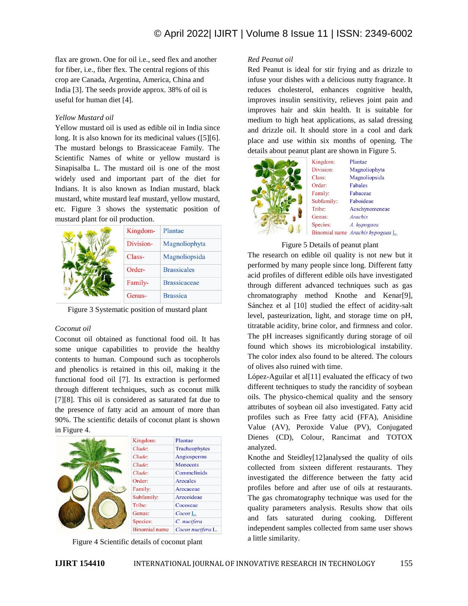flax are grown. One for oil i.e., seed flex and another for fiber, i.e., fiber flex. The central regions of this crop are Canada, Argentina, America, China and India [3]. The seeds provide approx. 38% of oil is useful for human diet [4].

## *Yellow Mustard oil*

Yellow mustard oil is used as edible oil in India since long. It is also known for its medicinal values ([5][6]. The mustard belongs to Brassicaceae Family. The Scientific Names of white or yellow mustard is Sinapisalba L. The mustard oil is one of the most widely used and important part of the diet for Indians. It is also known as Indian mustard, black mustard, white mustard leaf mustard, yellow mustard, etc. Figure 3 shows the systematic position of mustard plant for oil production.

| Kingdom-  | Plantae             |
|-----------|---------------------|
| Division- | Magnoliophyta       |
| Class-    | Magnoliopsida       |
| Order-    | <b>Brassicales</b>  |
| Family-   | <b>Brassicaceae</b> |
| Genus-    | <b>Brassica</b>     |

Figure 3 Systematic position of mustard plant

## *Coconut oil*

Coconut oil obtained as functional food oil. It has some unique capabilities to provide the healthy contents to human. Compound such as tocopherols and phenolics is retained in this oil, making it the functional food oil [7]. Its extraction is performed through different techniques, such as coconut milk [7][8]. This oil is considered as saturated fat due to the presence of fatty acid an amount of more than 90%. The scientific details of coconut plant is shown in Figure 4.



Figure 4 Scientific details of coconut plant

## *Red Peanut oil*

Red Peanut is ideal for stir frying and as drizzle to infuse your dishes with a delicious nutty fragrance. It reduces cholesterol, enhances cognitive health, improves insulin sensitivity, relieves joint pain and improves hair and skin health. It is suitable for medium to high heat applications, as salad dressing and drizzle oil. It should store in a cool and dark place and use within six months of opening. The details about peanut plant are shown in Figure 5.



Kingdom: Plantae Division: Magnoliophyta Class: Magnoliopsida Order: Fabales Family: Fabaceae Subfamily:: Faboideae Tribe: Aeschynomeneae Genus: **Arachis** Species: A. hypogaea Binomial name Arachis hypogaea L.

#### Figure 5 Details of peanut plant

The research on edible oil quality is not new but it performed by many people since long. Different fatty acid profiles of different edible oils have investigated through different advanced techniques such as gas chromatography method Knothe and Kenar[9], Sánchez et al [10] studied the effect of acidity-salt level, pasteurization, light, and storage time on pH, titratable acidity, brine color, and firmness and color. The pH increases significantly during storage of oil found which shows its microbiological instability. The color index also found to be altered. The colours of olives also ruined with time.

López-Aguilar et al[11] evaluated the efficacy of two different techniques to study the rancidity of soybean oils. The physico-chemical quality and the sensory attributes of soybean oil also investigated. Fatty acid profiles such as Free fatty acid (FFA), Anisidine Value (AV), Peroxide Value (PV), Conjugated Dienes (CD), Colour, Rancimat and TOTOX analyzed.

Knothe and Steidley[12]analysed the quality of oils collected from sixteen different restaurants. They investigated the difference between the fatty acid profiles before and after use of oils at restaurants. The gas chromatography technique was used for the quality parameters analysis. Results show that oils and fats saturated during cooking. Different independent samples collected from same user shows a little similarity.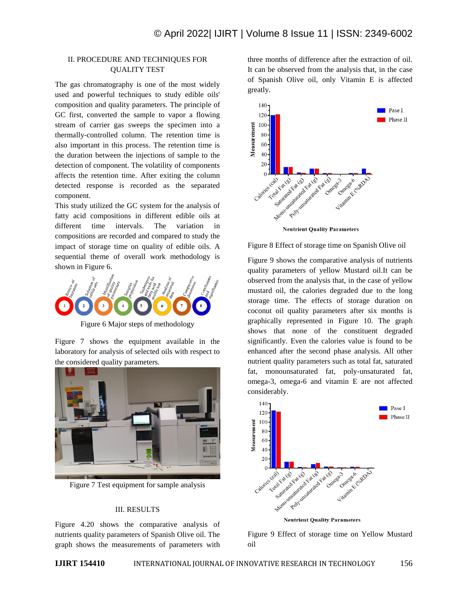# II. PROCEDURE AND TECHNIQUES FOR QUALITY TEST

The gas chromatography is one of the most widely used and powerful techniques to study edible oils' composition and quality parameters. The principle of GC first, converted the sample to vapor a flowing stream of carrier gas sweeps the specimen into a thermally-controlled column. The retention time is also important in this process. The retention time is the duration between the injections of sample to the detection of component. The volatility of components affects the retention time. After exiting the column detected response is recorded as the separated component.

This study utilized the GC system for the analysis of fatty acid compositions in different edible oils at different time intervals. The variation in compositions are recorded and compared to study the impact of storage time on quality of edible oils. A sequential theme of overall work methodology is shown in Figure 6.



Figure 6 Major steps of methodology

Figure 7 shows the equipment available in the laboratory for analysis of selected oils with respect to the considered quality parameters.



Figure 7 Test equipment for sample analysis

## III. RESULTS

Figure 4.20 shows the comparative analysis of nutrients quality parameters of Spanish Olive oil. The graph shows the measurements of parameters with three months of difference after the extraction of oil. It can be observed from the analysis that, in the case of Spanish Olive oil, only Vitamin E is affected greatly.



Figure 8 Effect of storage time on Spanish Olive oil

Figure 9 shows the comparative analysis of nutrients quality parameters of yellow Mustard oil.It can be observed from the analysis that, in the case of yellow mustard oil, the calories degraded due to the long storage time. The effects of storage duration on coconut oil quality parameters after six months is graphically represented in Figure 10. The graph shows that none of the constituent degraded significantly. Even the calories value is found to be enhanced after the second phase analysis. All other nutrient quality parameters such as total fat, saturated fat, monounsaturated fat, poly-unsaturated fat, omega-3, omega-6 and vitamin E are not affected considerably.



**Neutrient Quality Parameters** 

Figure 9 Effect of storage time on Yellow Mustard oil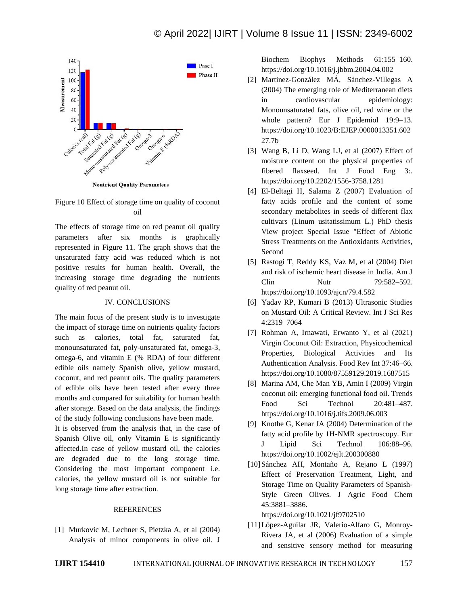

**Neutrient Quality Parameters** 

Figure 10 Effect of storage time on quality of coconut oil

The effects of storage time on red peanut oil quality parameters after six months is graphically represented in Figure 11. The graph shows that the unsaturated fatty acid was reduced which is not positive results for human health. Overall, the increasing storage time degrading the nutrients quality of red peanut oil.

### IV. CONCLUSIONS

The main focus of the present study is to investigate the impact of storage time on nutrients quality factors such as calories, total fat, saturated fat, monounsaturated fat, poly-unsaturated fat, omega-3, omega-6, and vitamin E (% RDA) of four different edible oils namely Spanish olive, yellow mustard, coconut, and red peanut oils. The quality parameters of edible oils have been tested after every three months and compared for suitability for human health after storage. Based on the data analysis, the findings of the study following conclusions have been made.

It is observed from the analysis that, in the case of Spanish Olive oil, only Vitamin E is significantly affected.In case of yellow mustard oil, the calories are degraded due to the long storage time. Considering the most important component i.e. calories, the yellow mustard oil is not suitable for long storage time after extraction.

## **REFERENCES**

[1] Murkovic M, Lechner S, Pietzka A, et al (2004) Analysis of minor components in olive oil. J

Biochem Biophys Methods 61:155–160. https://doi.org/10.1016/j.jbbm.2004.04.002

- [2] Martinez-González MÁ, Sánchez-Villegas A (2004) The emerging role of Mediterranean diets in cardiovascular epidemiology: Monounsaturated fats, olive oil, red wine or the whole pattern? Eur J Epidemiol 19:9–13. https://doi.org/10.1023/B:EJEP.0000013351.602 27.7b
- [3] Wang B, Li D, Wang LJ, et al (2007) Effect of moisture content on the physical properties of fibered flaxseed. Int J Food Eng 3:. https://doi.org/10.2202/1556-3758.1281
- [4] El-Beltagi H, Salama Z (2007) Evaluation of fatty acids profile and the content of some secondary metabolites in seeds of different flax cultivars (Linum usitatissimum L.) PhD thesis View project Special Issue "Effect of Abiotic Stress Treatments on the Antioxidants Activities, Second
- [5] Rastogi T, Reddy KS, Vaz M, et al (2004) Diet and risk of ischemic heart disease in India. Am J Clin Nutr 79:582–592. https://doi.org/10.1093/ajcn/79.4.582
- [6] Yadav RP, Kumari B (2013) Ultrasonic Studies on Mustard Oil: A Critical Review. Int J Sci Res 4:2319–7064
- [7] Rohman A, Irnawati, Erwanto Y, et al (2021) Virgin Coconut Oil: Extraction, Physicochemical Properties, Biological Activities and Its Authentication Analysis. Food Rev Int 37:46–66. https://doi.org/10.1080/87559129.2019.1687515
- [8] Marina AM, Che Man YB, Amin I (2009) Virgin coconut oil: emerging functional food oil. Trends Food Sci Technol 20:481–487. https://doi.org/10.1016/j.tifs.2009.06.003
- [9] Knothe G, Kenar JA (2004) Determination of the fatty acid profile by 1H-NMR spectroscopy. Eur J Lipid Sci Technol 106:88–96. https://doi.org/10.1002/ejlt.200300880
- [10]Sánchez AH, Montaño A, Rejano L (1997) Effect of Preservation Treatment, Light, and Storage Time on Quality Parameters of Spanish-Style Green Olives. J Agric Food Chem 45:3881–3886.

https://doi.org/10.1021/jf9702510

[11]López-Aguilar JR, Valerio-Alfaro G, Monroy-Rivera JA, et al (2006) Evaluation of a simple and sensitive sensory method for measuring